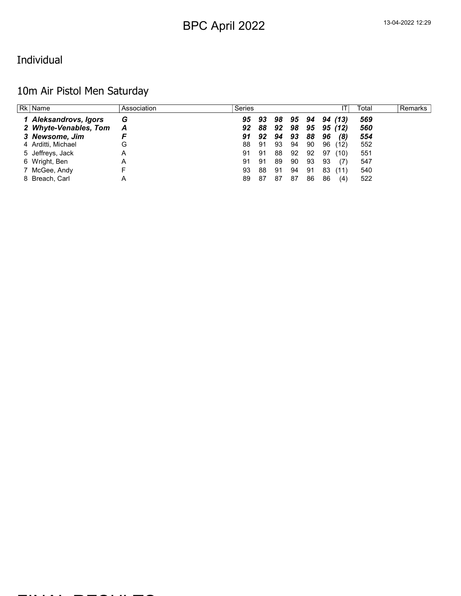#### Individual

### 10m Air Pistol Men Saturday

| Rk   Name             | Association | Series |     |    |    |    |    |         | Total | <b>Remarks</b> |
|-----------------------|-------------|--------|-----|----|----|----|----|---------|-------|----------------|
| 1 Aleksandrovs, Igors | G           | 95     | -93 | 98 | 95 | 94 |    | 94 (13) | 569   |                |
| 2 Whyte-Venables, Tom | Α           | 92     | 88  | 92 | 98 | 95 |    | 95 (12) | 560   |                |
| 3 Newsome, Jim        |             | 91     | 92  | 94 | 93 | 88 | 96 | (8)     | 554   |                |
| 4 Arditti, Michael    | G           | 88     | 91  | 93 | 94 | 90 | 96 | (12)    | 552   |                |
| 5 Jeffreys, Jack      | Α           | 91     | 91  | 88 | 92 | 92 | 97 | (10)    | 551   |                |
| 6 Wright, Ben         | A           | 91     | 91  | 89 | 90 | 93 | 93 | (7)     | 547   |                |
| 7 McGee, Andy         |             | 93     | 88  | 91 | 94 | 91 | 83 | (11)    | 540   |                |
| 8 Breach, Carl        |             | 89     | 87  | 87 | 87 | 86 | 86 | (4)     | 522   |                |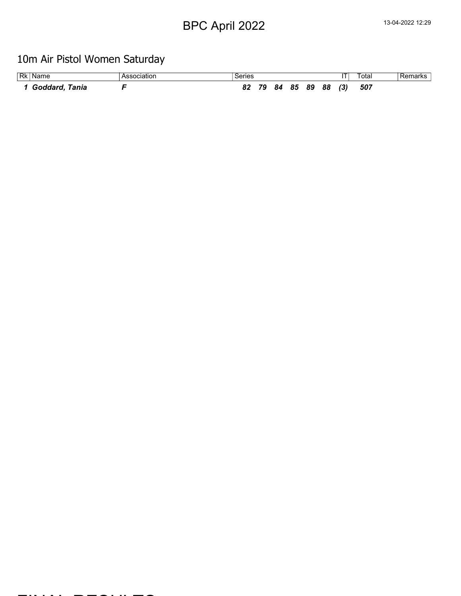### 10m Air Pistol Women Saturday

| <b>Rk</b> Name | Association | Series |    |    |    |    |    |     | ʻotal | Remarks |
|----------------|-------------|--------|----|----|----|----|----|-----|-------|---------|
| Goddard, Tania |             |        | 79 | 84 | 85 | 89 | 88 | (3) | 507   |         |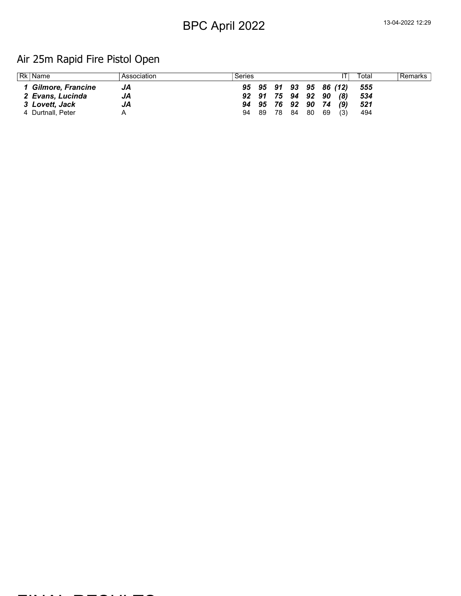### Air 25m Rapid Fire Pistol Open

| Rk   Name           | Association | Series |       |       |                   |                        |     | Total | Remarks I |
|---------------------|-------------|--------|-------|-------|-------------------|------------------------|-----|-------|-----------|
| 1 Gilmore, Francine | JA          |        |       |       |                   | 95 95 91 93 95 86 (12) |     | - 555 |           |
| 2 Evans, Lucinda    | JA          |        |       |       | 92 91 75 94 92 90 |                        | (8) | 534   |           |
| 3 Lovett, Jack      | JA          |        |       |       | 94 95 76 92 90 74 |                        | (9) | 521   |           |
| 4 Durtnall, Peter   |             |        | 94 89 | 78 84 | 80                | 69                     | (3) | 494   |           |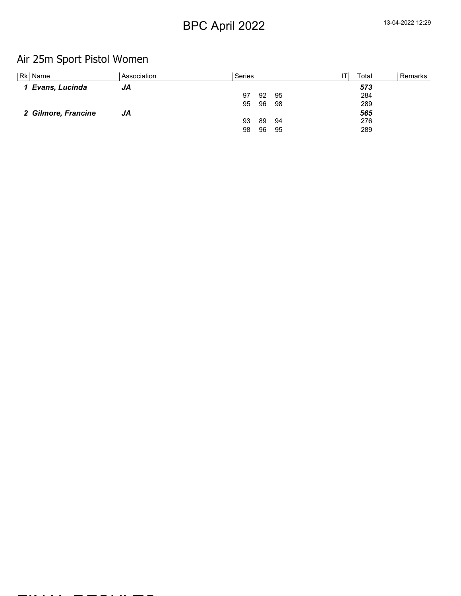### Air 25m Sport Pistol Women

| Rk   Name           | Association | Series |    |     | Total | Remarks |
|---------------------|-------------|--------|----|-----|-------|---------|
| 1 Evans, Lucinda    | JA          |        |    |     | 573   |         |
|                     |             | 97     | 92 | 95  | 284   |         |
|                     |             | 95     | 96 | -98 | 289   |         |
| 2 Gilmore, Francine | JA          |        |    |     | 565   |         |
|                     |             | 93     | 89 | -94 | 276   |         |
|                     |             | 98     | 96 | 95  | 289   |         |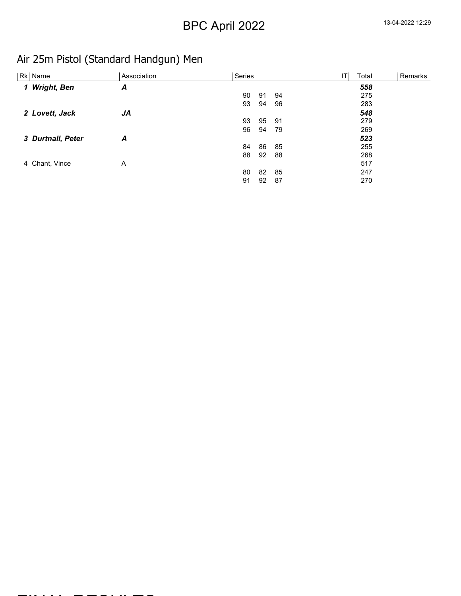### Air 25m Pistol (Standard Handgun) Men

| Rk Name           | Association | Series   |    | Total | Remarks |
|-------------------|-------------|----------|----|-------|---------|
| 1 Wright, Ben     | A           |          |    | 558   |         |
|                   |             | 90<br>91 | 94 | 275   |         |
|                   |             | 93<br>94 | 96 | 283   |         |
| 2 Lovett, Jack    | JA          |          |    | 548   |         |
|                   |             | 93<br>95 | 91 | 279   |         |
|                   |             | 96<br>94 | 79 | 269   |         |
| 3 Durtnall, Peter | Α           |          |    | 523   |         |
|                   |             | 86<br>84 | 85 | 255   |         |
|                   |             | 92<br>88 | 88 | 268   |         |
| 4 Chant, Vince    | Α           |          |    | 517   |         |
|                   |             | 80<br>82 | 85 | 247   |         |
|                   |             | 91<br>92 | 87 | 270   |         |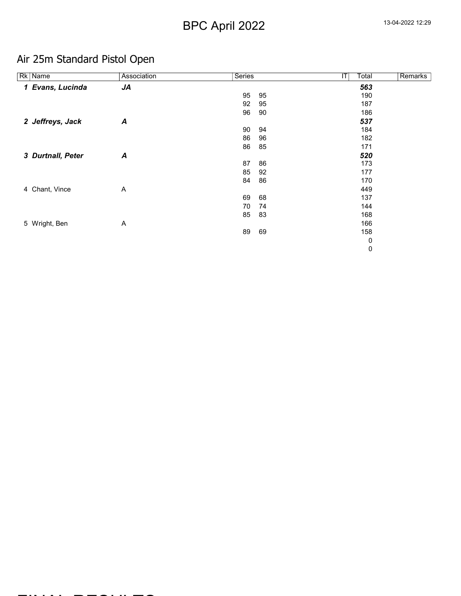### Air 25m Standard Pistol Open

| Rk Name           | Association      | <b>Series</b> |    | IT | Total | Remarks |
|-------------------|------------------|---------------|----|----|-------|---------|
| 1 Evans, Lucinda  | JA               |               |    |    | 563   |         |
|                   |                  | 95            | 95 |    | 190   |         |
|                   |                  | 92            | 95 |    | 187   |         |
|                   |                  | 96            | 90 |    | 186   |         |
| 2 Jeffreys, Jack  | $\boldsymbol{A}$ |               |    |    | 537   |         |
|                   |                  | 90            | 94 |    | 184   |         |
|                   |                  | 86            | 96 |    | 182   |         |
|                   |                  | 86            | 85 |    | 171   |         |
| 3 Durtnall, Peter | $\boldsymbol{A}$ |               |    |    | 520   |         |
|                   |                  | 87            | 86 |    | 173   |         |
|                   |                  | 85            | 92 |    | 177   |         |
|                   |                  | 84            | 86 |    | 170   |         |
| 4 Chant, Vince    | A                |               |    |    | 449   |         |
|                   |                  | 69            | 68 |    | 137   |         |
|                   |                  | 70            | 74 |    | 144   |         |
|                   |                  | 85            | 83 |    | 168   |         |
| 5 Wright, Ben     | A                |               |    |    | 166   |         |
|                   |                  | 89            | 69 |    | 158   |         |
|                   |                  |               |    |    | 0     |         |
|                   |                  |               |    |    | 0     |         |